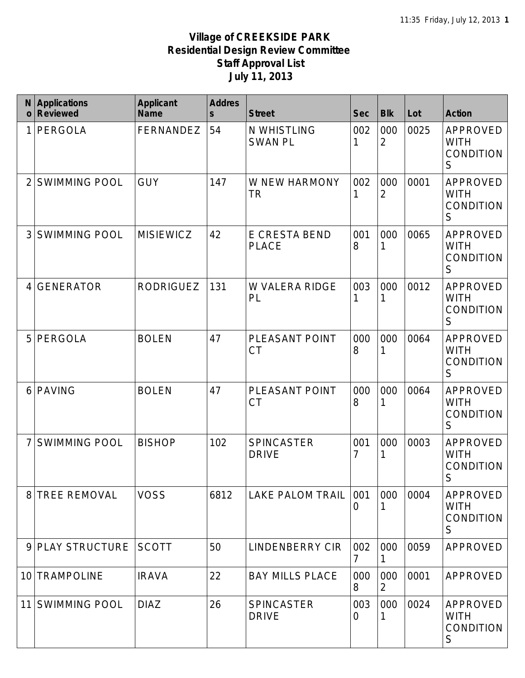| N<br>$\mathbf 0$ | <b>Applications</b><br><b>Reviewed</b> | <b>Applicant</b><br><b>Name</b> | <b>Addres</b><br>$\mathsf{s}$ | <b>Street</b>                     | <b>Sec</b> | <b>Blk</b>            | Lot  | <b>Action</b>                                                     |
|------------------|----------------------------------------|---------------------------------|-------------------------------|-----------------------------------|------------|-----------------------|------|-------------------------------------------------------------------|
|                  | PERGOLA                                | FERNANDEZ                       | 54                            | N WHISTLING<br><b>SWAN PL</b>     | 002<br>1   | 000<br>$\overline{2}$ | 0025 | APPROVED<br><b>WITH</b><br><b>CONDITION</b><br>S                  |
|                  | <b>SWIMMING POOL</b>                   | <b>GUY</b>                      | 147                           | W NEW HARMONY<br><b>TR</b>        | 002        | 000<br>$\overline{2}$ | 0001 | APPROVED<br><b>WITH</b><br><b>CONDITION</b><br>S                  |
| 3                | <b>SWIMMING POOL</b>                   | <b>MISIEWICZ</b>                | 42                            | E CRESTA BEND<br><b>PLACE</b>     | 001<br>8   | 000<br>1              | 0065 | APPROVED<br><b>WITH</b><br><b>CONDITION</b><br>S                  |
| 4                | <b>GENERATOR</b>                       | <b>RODRIGUEZ</b>                | 131                           | W VALERA RIDGE<br>PL              | 003<br>1   | 000<br>1              | 0012 | <b>APPROVED</b><br><b>WITH</b><br><b>CONDITION</b><br>S           |
| 5                | PERGOLA                                | <b>BOLEN</b>                    | 47                            | PLEASANT POINT<br><b>CT</b>       | 000<br>8   | 000<br>1              | 0064 | <b>APPROVED</b><br><b>WITH</b><br><b>CONDITION</b><br>S           |
| 6                | <b>PAVING</b>                          | <b>BOLEN</b>                    | 47                            | PLEASANT POINT<br>СT              | 000<br>8   | 000<br>1              | 0064 | APPROVED<br><b>WITH</b><br>CONDITION<br>S                         |
|                  | <b>SWIMMING POOL</b>                   | <b>BISHOP</b>                   | 102                           | <b>SPINCASTER</b><br><b>DRIVE</b> | 001<br>7   | 000<br>1              | 0003 | <b>APPROVED</b><br><b>WITH</b><br><b>CONDITION</b><br>$\mathsf S$ |
| 8                | <b>TREE REMOVAL</b>                    | <b>VOSS</b>                     | 6812                          | <b>LAKE PALOM TRAIL</b>           | 001<br>0   | 000                   | 0004 | APPROVED<br><b>WITH</b><br>CONDITION<br>S                         |
| 9                | <b>PLAY STRUCTURE</b>                  | <b>SCOTT</b>                    | 50                            | <b>LINDENBERRY CIR</b>            | 002<br>7   | 000                   | 0059 | APPROVED                                                          |
| 10               | <b>TRAMPOLINE</b>                      | <b>IRAVA</b>                    | 22                            | <b>BAY MILLS PLACE</b>            | 000<br>8   | 000<br>$\overline{2}$ | 0001 | APPROVED                                                          |
| 11               | <b>SWIMMING POOL</b>                   | <b>DIAZ</b>                     | 26                            | <b>SPINCASTER</b><br><b>DRIVE</b> | 003<br>O   | 000                   | 0024 | APPROVED<br><b>WITH</b><br>CONDITION<br>S                         |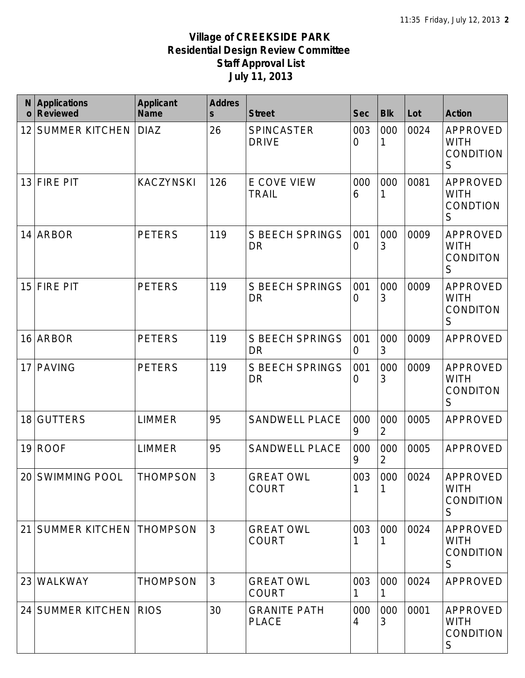| N<br>$\mathbf 0$ | <b>Applications</b><br><b>Reviewed</b> | <b>Applicant</b><br><b>Name</b> | <b>Addres</b><br>$\mathsf{s}$ | <b>Street</b>                       | <b>Sec</b>            | <b>Blk</b>            | Lot  | <b>Action</b>                                    |
|------------------|----------------------------------------|---------------------------------|-------------------------------|-------------------------------------|-----------------------|-----------------------|------|--------------------------------------------------|
| 12               | <b>SUMMER KITCHEN</b>                  | <b>DIAZ</b>                     | 26                            | SPINCASTER<br><b>DRIVE</b>          | 003<br>0              | 000<br>1              | 0024 | APPROVED<br><b>WITH</b><br>CONDITION<br>S        |
| 13               | <b>FIRE PIT</b>                        | <b>KACZYNSKI</b>                | 126                           | E COVE VIEW<br><b>TRAIL</b>         | 000<br>6              | 000<br>1              | 0081 | APPROVED<br><b>WITH</b><br>CONDTION<br>S         |
| 14               | <b>ARBOR</b>                           | <b>PETERS</b>                   | 119                           | <b>S BEECH SPRINGS</b><br><b>DR</b> | 001<br>$\overline{0}$ | 000<br>3              | 0009 | APPROVED<br><b>WITH</b><br>CONDITON<br>S         |
| 15               | <b>FIRE PIT</b>                        | <b>PETERS</b>                   | 119                           | <b>S BEECH SPRINGS</b><br><b>DR</b> | 001<br>0              | 000<br>3              | 0009 | APPROVED<br><b>WITH</b><br><b>CONDITON</b><br>S  |
| 16               | <b>ARBOR</b>                           | <b>PETERS</b>                   | 119                           | <b>S BEECH SPRINGS</b><br><b>DR</b> | 001<br>$\overline{0}$ | 000<br>3              | 0009 | APPROVED                                         |
| 17               | <b>PAVING</b>                          | <b>PETERS</b>                   | 119                           | <b>S BEECH SPRINGS</b><br>DR        | 001<br>0              | 000<br>3              | 0009 | APPROVED<br><b>WITH</b><br>CONDITON<br>S         |
| 18               | <b>GUTTERS</b>                         | <b>LIMMER</b>                   | 95                            | <b>SANDWELL PLACE</b>               | 000<br>9              | 000<br>$\sqrt{2}$     | 0005 | APPROVED                                         |
| 19               | <b>ROOF</b>                            | <b>LIMMER</b>                   | 95                            | <b>SANDWELL PLACE</b>               | 000<br>9              | 000<br>$\overline{2}$ | 0005 | APPROVED                                         |
|                  | 20 SWIMMING POOL                       | <b>THOMPSON</b>                 | $\overline{3}$                | <b>GREAT OWL</b><br><b>COURT</b>    | 003                   | 000                   | 0024 | APPROVED<br><b>WITH</b><br>CONDITION<br>S        |
| 21               | <b>SUMMER KITCHEN THOMPSON</b>         |                                 | 3                             | <b>GREAT OWL</b><br><b>COURT</b>    | 003                   | 000                   | 0024 | APPROVED<br><b>WITH</b><br><b>CONDITION</b><br>S |
| 23               | <b>WALKWAY</b>                         | <b>THOMPSON</b>                 | $\mathfrak{Z}$                | <b>GREAT OWL</b><br><b>COURT</b>    | 003                   | 000<br>1              | 0024 | APPROVED                                         |
|                  | 24 SUMMER KITCHEN                      | <b>RIOS</b>                     | 30                            | <b>GRANITE PATH</b><br><b>PLACE</b> | 000<br>4              | 000<br>3              | 0001 | APPROVED<br><b>WITH</b><br><b>CONDITION</b><br>S |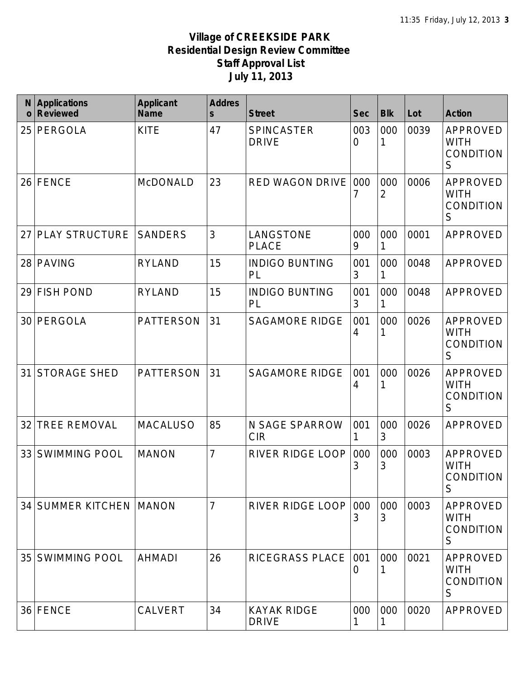| N<br>$\mathbf 0$ | <b>Applications</b><br><b>Reviewed</b> | <b>Applicant</b><br><b>Name</b> | <b>Addres</b><br>$\mathsf{s}$ | <b>Street</b>                      | <b>Sec</b>              | <b>Blk</b> | Lot  | <b>Action</b>                                           |
|------------------|----------------------------------------|---------------------------------|-------------------------------|------------------------------------|-------------------------|------------|------|---------------------------------------------------------|
| 25               | PERGOLA                                | <b>KITE</b>                     | 47                            | <b>SPINCASTER</b><br><b>DRIVE</b>  | 003<br>$\overline{0}$   | 000        | 0039 | APPROVED<br><b>WITH</b><br><b>CONDITION</b><br>S        |
| 26               | <b>FENCE</b>                           | <b>McDONALD</b>                 | 23                            | RED WAGON DRIVE                    | 000<br>7                | 000<br>2   | 0006 | <b>APPROVED</b><br><b>WITH</b><br><b>CONDITION</b><br>S |
| 27               | <b>PLAY STRUCTURE</b>                  | <b>SANDERS</b>                  | 3                             | LANGSTONE<br><b>PLACE</b>          | 000<br>9                | 000<br>1   | 0001 | APPROVED                                                |
| 28               | <b>PAVING</b>                          | <b>RYLAND</b>                   | 15                            | <b>INDIGO BUNTING</b><br>PL        | 001<br>3                | 000        | 0048 | APPROVED                                                |
| 29               | <b>FISH POND</b>                       | <b>RYLAND</b>                   | 15                            | <b>INDIGO BUNTING</b><br>PL        | 001<br>3                | 000<br>1   | 0048 | <b>APPROVED</b>                                         |
| 30               | PERGOLA                                | <b>PATTERSON</b>                | 31                            | <b>SAGAMORE RIDGE</b>              | 001<br>4                | 000        | 0026 | APPROVED<br><b>WITH</b><br><b>CONDITION</b><br>S        |
| 31               | <b>STORAGE SHED</b>                    | <b>PATTERSON</b>                | 31                            | <b>SAGAMORE RIDGE</b>              | 001<br>4                | 000        | 0026 | <b>APPROVED</b><br><b>WITH</b><br><b>CONDITION</b><br>S |
| 32               | <b>TREE REMOVAL</b>                    | <b>MACALUSO</b>                 | 85                            | N SAGE SPARROW<br><b>CIR</b>       | 001<br>1                | 000<br>3   | 0026 | <b>APPROVED</b>                                         |
| 33               | <b>SWIMMING POOL</b>                   | <b>MANON</b>                    | $\overline{7}$                | <b>RIVER RIDGE LOOP</b>            | 000<br>3                | 000<br>3   | 0003 | <b>APPROVED</b><br><b>WITH</b><br><b>CONDITION</b><br>S |
|                  | 34 SUMMER KITCHEN MANON                |                                 | 7                             | RIVER RIDGE LOOP                   | 000<br>3                | 000<br>3   | 0003 | APPROVED<br><b>WITH</b><br>CONDITION<br>S               |
| 35               | <b>SWIMMING POOL</b>                   | <b>AHMADI</b>                   | 26                            | RICEGRASS PLACE                    | 001<br>$\left( \right)$ | 000        | 0021 | APPROVED<br><b>WITH</b><br>CONDITION<br>S               |
|                  | 36 FENCE                               | <b>CALVERT</b>                  | 34                            | <b>KAYAK RIDGE</b><br><b>DRIVE</b> | 000<br>1                | 000<br>1   | 0020 | APPROVED                                                |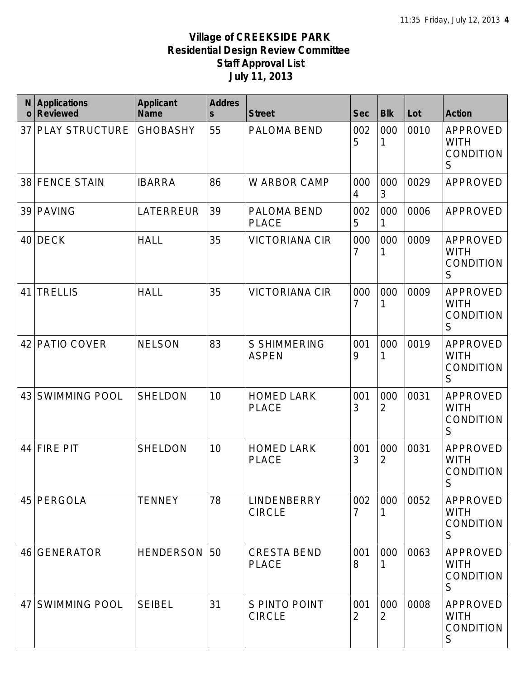| N<br>$\mathbf 0$ | <b>Applications</b><br><b>Reviewed</b> | <b>Applicant</b><br><b>Name</b> | <b>Addres</b><br>$\mathsf{s}$ | <b>Street</b>                       | <b>Sec</b> | <b>Blk</b>            | Lot  | <b>Action</b>                                              |
|------------------|----------------------------------------|---------------------------------|-------------------------------|-------------------------------------|------------|-----------------------|------|------------------------------------------------------------|
| 37               | <b>PLAY STRUCTURE</b>                  | <b>GHOBASHY</b>                 | 55                            | PALOMA BEND                         | 002<br>5   | 000                   | 0010 | APPROVED<br><b>WITH</b><br><b>CONDITION</b><br>$\mathsf S$ |
| 38               | <b>FENCE STAIN</b>                     | <b>IBARRA</b>                   | 86                            | W ARBOR CAMP                        | 000<br>4   | 000<br>3              | 0029 | <b>APPROVED</b>                                            |
| 39               | <b>PAVING</b>                          | LATERREUR                       | 39                            | PALOMA BEND<br><b>PLACE</b>         | 002<br>5   | 000<br>1              | 0006 | APPROVED                                                   |
| 40               | <b>DECK</b>                            | <b>HALL</b>                     | 35                            | <b>VICTORIANA CIR</b>               | 000<br>7   | 000                   | 0009 | <b>APPROVED</b><br><b>WITH</b><br><b>CONDITION</b><br>S    |
| 41               | <b>TRELLIS</b>                         | <b>HALL</b>                     | 35                            | <b>VICTORIANA CIR</b>               | 000<br>7   | 000<br>1              | 0009 | APPROVED<br><b>WITH</b><br><b>CONDITION</b><br>S           |
| 42               | PATIO COVER                            | <b>NELSON</b>                   | 83                            | <b>S SHIMMERING</b><br><b>ASPEN</b> | 001<br>9   | 000<br>1              | 0019 | APPROVED<br><b>WITH</b><br><b>CONDITION</b><br>S           |
| 43               | <b>SWIMMING POOL</b>                   | <b>SHELDON</b>                  | 10                            | <b>HOMED LARK</b><br><b>PLACE</b>   | 001<br>3   | 000<br>$\overline{2}$ | 0031 | APPROVED<br><b>WITH</b><br>CONDITION<br>S                  |
| 44               | <b>FIRE PIT</b>                        | <b>SHELDON</b>                  | 10                            | <b>HOMED LARK</b><br><b>PLACE</b>   | 001<br>3   | 000<br>$\overline{2}$ | 0031 | APPROVED<br><b>WITH</b><br><b>CONDITION</b><br>S           |
| 45               | PERGOLA                                | <b>TENNEY</b>                   | 78                            | <b>LINDENBERRY</b><br><b>CIRCLE</b> | 002<br>7   | 000                   | 0052 | APPROVED<br><b>WITH</b><br><b>CONDITION</b><br>S           |
| 46               | <b>GENERATOR</b>                       | <b>HENDERSON</b>                | 50                            | <b>CRESTA BEND</b><br><b>PLACE</b>  | 001<br>8   | 000                   | 0063 | APPROVED<br><b>WITH</b><br><b>CONDITION</b><br>S           |
| 47               | <b>SWIMMING POOL</b>                   | <b>SEIBEL</b>                   | 31                            | S PINTO POINT<br><b>CIRCLE</b>      | 001<br>2   | 000<br>2              | 0008 | APPROVED<br><b>WITH</b><br><b>CONDITION</b><br>S           |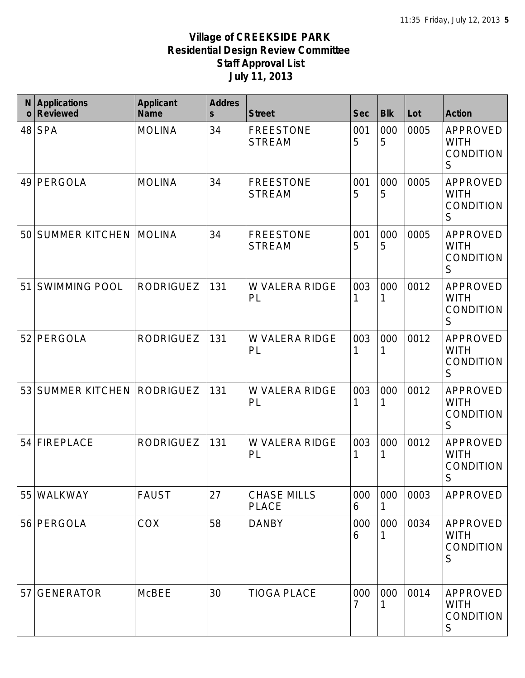| N<br>$\mathbf{o}$ | <b>Applications</b><br><b>Reviewed</b> | <b>Applicant</b><br><b>Name</b> | <b>Addres</b><br>$\mathsf{s}$ | <b>Street</b>                      | <b>Sec</b> | <b>Blk</b> | Lot  | <b>Action</b>                                              |
|-------------------|----------------------------------------|---------------------------------|-------------------------------|------------------------------------|------------|------------|------|------------------------------------------------------------|
| 48                | <b>SPA</b>                             | <b>MOLINA</b>                   | 34                            | <b>FREESTONE</b><br><b>STREAM</b>  | 001<br>5   | 000<br>5   | 0005 | APPROVED<br><b>WITH</b><br><b>CONDITION</b><br>S           |
| 49                | PERGOLA                                | <b>MOLINA</b>                   | 34                            | <b>FREESTONE</b><br><b>STREAM</b>  | 001<br>5   | 000<br>5   | 0005 | APPROVED<br><b>WITH</b><br><b>CONDITION</b><br>$\mathsf S$ |
| 50                | <b>SUMMER KITCHEN</b>                  | <b>MOLINA</b>                   | 34                            | <b>FREESTONE</b><br><b>STREAM</b>  | 001<br>5   | 000<br>5   | 0005 | APPROVED<br><b>WITH</b><br><b>CONDITION</b><br>S           |
| 51                | <b>SWIMMING POOL</b>                   | <b>RODRIGUEZ</b>                | 131                           | W VALERA RIDGE<br>PL               | 003        | 000<br>1   | 0012 | <b>APPROVED</b><br><b>WITH</b><br><b>CONDITION</b><br>S    |
| 52                | PERGOLA                                | <b>RODRIGUEZ</b>                | 131                           | W VALERA RIDGE<br>PL               | 003        | 000<br>1   | 0012 | <b>APPROVED</b><br><b>WITH</b><br><b>CONDITION</b><br>S    |
| 53                | SUMMER KITCHEN RODRIGUEZ               |                                 | 131                           | W VALERA RIDGE<br>PL               | 003        | 000<br>1   | 0012 | <b>APPROVED</b><br><b>WITH</b><br><b>CONDITION</b><br>S    |
| 54                | <b>FIREPLACE</b>                       | <b>RODRIGUEZ</b>                | 131                           | <b>W VALERA RIDGE</b><br>PL        | 003        | 000<br>1   | 0012 | <b>APPROVED</b><br><b>WITH</b><br><b>CONDITION</b><br>S    |
| 55                | WALKWAY                                | <b>FAUST</b>                    | 27                            | <b>CHASE MILLS</b><br><b>PLACE</b> | 000<br>6   | 000        | 0003 | <b>APPROVED</b>                                            |
| 56                | PERGOLA                                | <b>COX</b>                      | 58                            | <b>DANBY</b>                       | 000<br>6   | 000<br>1   | 0034 | APPROVED<br><b>WITH</b><br><b>CONDITION</b><br>S           |
|                   |                                        |                                 |                               |                                    |            |            |      |                                                            |
| 57                | <b>GENERATOR</b>                       | <b>McBEE</b>                    | 30                            | <b>TIOGA PLACE</b>                 | 000        | 000<br>1   | 0014 | APPROVED<br><b>WITH</b><br><b>CONDITION</b><br>S           |